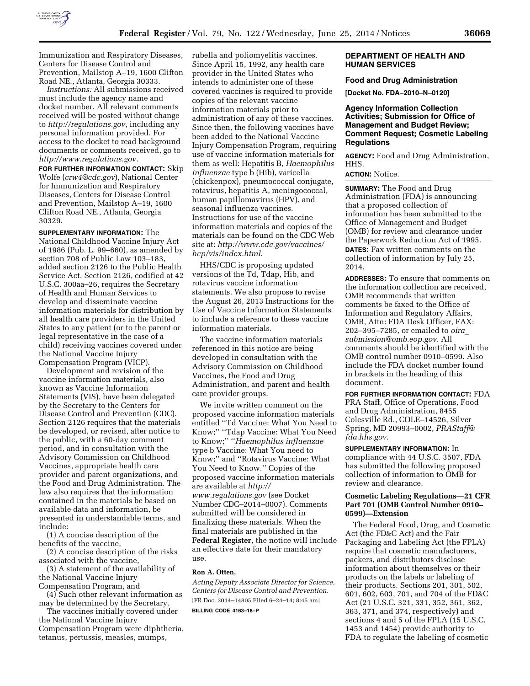

Immunization and Respiratory Diseases, Centers for Disease Control and Prevention, Mailstop A–19, 1600 Clifton Road NE., Atlanta, Georgia 30333.

*Instructions:* All submissions received must include the agency name and docket number. All relevant comments received will be posted without change to *<http://regulations.gov>*, including any personal information provided. For access to the docket to read background documents or comments received, go to *<http://www.regulations.gov>*.

**FOR FURTHER INFORMATION CONTACT:** Skip Wolfe (*[crw4@cdc.gov](mailto:crw4@cdc.gov)*), National Center for Immunization and Respiratory Diseases, Centers for Disease Control and Prevention, Mailstop A–19, 1600 Clifton Road NE., Atlanta, Georgia 30329.

**SUPPLEMENTARY INFORMATION:** The National Childhood Vaccine Injury Act of 1986 (Pub. L. 99–660), as amended by section 708 of Public Law 103–183, added section 2126 to the Public Health Service Act. Section 2126, codified at 42 U.S.C. 300aa–26, requires the Secretary of Health and Human Services to develop and disseminate vaccine information materials for distribution by all health care providers in the United States to any patient (or to the parent or legal representative in the case of a child) receiving vaccines covered under the National Vaccine Injury Compensation Program (VICP).

Development and revision of the vaccine information materials, also known as Vaccine Information Statements (VIS), have been delegated by the Secretary to the Centers for Disease Control and Prevention (CDC). Section 2126 requires that the materials be developed, or revised, after notice to the public, with a 60-day comment period, and in consultation with the Advisory Commission on Childhood Vaccines, appropriate health care provider and parent organizations, and the Food and Drug Administration. The law also requires that the information contained in the materials be based on available data and information, be presented in understandable terms, and include:

(1) A concise description of the benefits of the vaccine,

(2) A concise description of the risks associated with the vaccine,

(3) A statement of the availability of the National Vaccine Injury Compensation Program, and

(4) Such other relevant information as may be determined by the Secretary.

The vaccines initially covered under the National Vaccine Injury Compensation Program were diphtheria, tetanus, pertussis, measles, mumps,

rubella and poliomyelitis vaccines. Since April 15, 1992, any health care provider in the United States who intends to administer one of these covered vaccines is required to provide copies of the relevant vaccine information materials prior to administration of any of these vaccines. Since then, the following vaccines have been added to the National Vaccine Injury Compensation Program, requiring use of vaccine information materials for them as well: Hepatitis B, *Haemophilus influenzae* type b (Hib), varicella (chickenpox), pneumococcal conjugate, rotavirus, hepatitis A, meningococcal, human papillomavirus (HPV), and seasonal influenza vaccines. Instructions for use of the vaccine information materials and copies of the materials can be found on the CDC Web site at: *[http://www.cdc.gov/vaccines/](http://www.cdc.gov/vaccines/hcp/vis/index.html) [hcp/vis/index.html](http://www.cdc.gov/vaccines/hcp/vis/index.html)*.

HHS/CDC is proposing updated versions of the Td, Tdap, Hib, and rotavirus vaccine information statements. We also propose to revise the August 26, 2013 Instructions for the Use of Vaccine Information Statements to include a reference to these vaccine information materials.

The vaccine information materials referenced in this notice are being developed in consultation with the Advisory Commission on Childhood Vaccines, the Food and Drug Administration, and parent and health care provider groups.

We invite written comment on the proposed vaccine information materials entitled ''Td Vaccine: What You Need to Know;'' ''Tdap Vaccine: What You Need to Know;'' ''*Haemophilus influenzae*  type b Vaccine: What You need to Know;'' and ''Rotavirus Vaccine: What You Need to Know.'' Copies of the proposed vaccine information materials are available at *[http://](http://www.regulations.gov) [www.regulations.gov](http://www.regulations.gov)* (see Docket Number CDC–2014–0007). Comments submitted will be considered in finalizing these materials. When the final materials are published in the **Federal Register**, the notice will include an effective date for their mandatory use.

# **Ron A. Otten,**

*Acting Deputy Associate Director for Science, Centers for Disease Control and Prevention.*  [FR Doc. 2014–14805 Filed 6–24–14; 8:45 am] **BILLING CODE 4163–18–P** 

# **DEPARTMENT OF HEALTH AND HUMAN SERVICES**

#### **Food and Drug Administration**

**[Docket No. FDA–2010–N–0120]** 

### **Agency Information Collection Activities; Submission for Office of Management and Budget Review; Comment Request; Cosmetic Labeling Regulations**

**AGENCY:** Food and Drug Administration, HHS.

# **ACTION:** Notice.

**SUMMARY:** The Food and Drug Administration (FDA) is announcing that a proposed collection of information has been submitted to the Office of Management and Budget (OMB) for review and clearance under the Paperwork Reduction Act of 1995. **DATES:** Fax written comments on the collection of information by July 25, 2014.

**ADDRESSES:** To ensure that comments on the information collection are received, OMB recommends that written comments be faxed to the Office of Information and Regulatory Affairs, OMB, Attn: FDA Desk Officer, FAX: 202–395–7285, or emailed to *[oira](mailto:oira_submission@omb.eop.gov)*\_ *[submission@omb.eop.gov.](mailto:oira_submission@omb.eop.gov)* All comments should be identified with the OMB control number 0910–0599. Also include the FDA docket number found in brackets in the heading of this document.

**FOR FURTHER INFORMATION CONTACT:** FDA PRA Staff, Office of Operations, Food and Drug Administration, 8455 Colesville Rd., COLE–14526, Silver Spring, MD 20993–0002, *[PRAStaff@](mailto:PRAStaff@fda.hhs.gov) [fda.hhs.gov.](mailto:PRAStaff@fda.hhs.gov)* 

**SUPPLEMENTARY INFORMATION:** In compliance with 44 U.S.C. 3507, FDA has submitted the following proposed collection of information to OMB for review and clearance.

### **Cosmetic Labeling Regulations—21 CFR Part 701 (OMB Control Number 0910– 0599)—Extension**

The Federal Food, Drug, and Cosmetic Act (the FD&C Act) and the Fair Packaging and Labeling Act (the FPLA) require that cosmetic manufacturers, packers, and distributors disclose information about themselves or their products on the labels or labeling of their products. Sections 201, 301, 502, 601, 602, 603, 701, and 704 of the FD&C Act (21 U.S.C. 321, 331, 352, 361, 362, 363, 371, and 374, respectively) and sections 4 and 5 of the FPLA (15 U.S.C. 1453 and 1454) provide authority to FDA to regulate the labeling of cosmetic